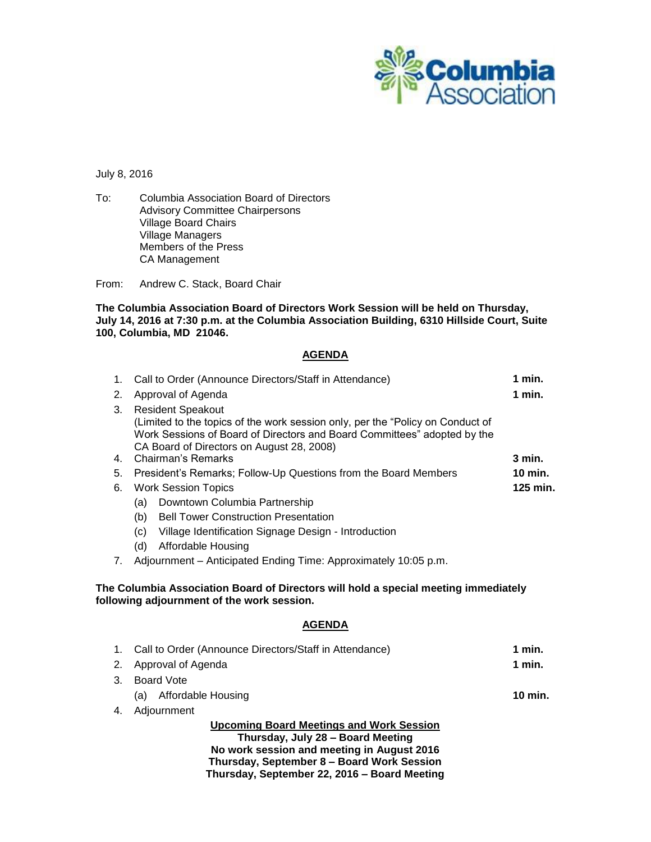

## July 8, 2016

To: Columbia Association Board of Directors Advisory Committee Chairpersons Village Board Chairs Village Managers Members of the Press CA Management

From: Andrew C. Stack, Board Chair

**The Columbia Association Board of Directors Work Session will be held on Thursday, July 14, 2016 at 7:30 p.m. at the Columbia Association Building, 6310 Hillside Court, Suite 100, Columbia, MD 21046.**

## **AGENDA**

| 1.                                                                                                                                | Call to Order (Announce Directors/Staff in Attendance)                                                                                                                                                                                                    | 1 min.   |
|-----------------------------------------------------------------------------------------------------------------------------------|-----------------------------------------------------------------------------------------------------------------------------------------------------------------------------------------------------------------------------------------------------------|----------|
| 2.                                                                                                                                | Approval of Agenda                                                                                                                                                                                                                                        | $1$ min. |
| 3.<br>4.                                                                                                                          | <b>Resident Speakout</b><br>(Limited to the topics of the work session only, per the "Policy on Conduct of<br>Work Sessions of Board of Directors and Board Committees" adopted by the<br>CA Board of Directors on August 28, 2008)<br>Chairman's Remarks | $3$ min. |
| 5.                                                                                                                                | President's Remarks; Follow-Up Questions from the Board Members                                                                                                                                                                                           | 10 min.  |
| 6.                                                                                                                                | <b>Work Session Topics</b>                                                                                                                                                                                                                                | 125 min. |
|                                                                                                                                   | (a) Downtown Columbia Partnership                                                                                                                                                                                                                         |          |
|                                                                                                                                   | <b>Bell Tower Construction Presentation</b><br>(b)                                                                                                                                                                                                        |          |
|                                                                                                                                   | Village Identification Signage Design - Introduction<br>(c)                                                                                                                                                                                               |          |
|                                                                                                                                   | <b>Affordable Housing</b><br>(d)                                                                                                                                                                                                                          |          |
| $7_{\circ}$                                                                                                                       | Adjournment - Anticipated Ending Time: Approximately 10:05 p.m.                                                                                                                                                                                           |          |
| The Columbia Association Board of Directors will hold a special meeting immediately<br>following adjournment of the work session. |                                                                                                                                                                                                                                                           |          |
|                                                                                                                                   | <b>AGENDA</b>                                                                                                                                                                                                                                             |          |
| 1.                                                                                                                                | Call to Order (Announce Directors/Staff in Attendance)                                                                                                                                                                                                    | 1 min.   |
| 2.                                                                                                                                | Approval of Agenda                                                                                                                                                                                                                                        | $1$ min. |
| 3.                                                                                                                                | <b>Board Vote</b>                                                                                                                                                                                                                                         |          |
|                                                                                                                                   | (a) Affordable Housing                                                                                                                                                                                                                                    | 10 min.  |
| 4.                                                                                                                                | Adjournment                                                                                                                                                                                                                                               |          |
| <b>Upcoming Board Meetings and Work Session</b>                                                                                   |                                                                                                                                                                                                                                                           |          |
| Thursday, July 28 - Board Meeting<br>No work session and meeting in August 2016                                                   |                                                                                                                                                                                                                                                           |          |
|                                                                                                                                   |                                                                                                                                                                                                                                                           |          |

**Thursday, September 8 – Board Work Session Thursday, September 22, 2016 – Board Meeting**